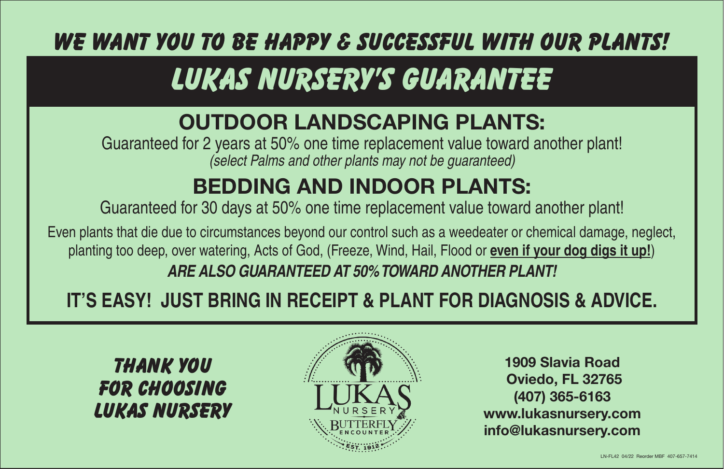**We want you to be happy & successful with our plants!**

# **LUKAS NURSERY'S GUARANTEE**

### OUTDOOR LANDSCAPING PLANTS:

Guaranteed for 2 years at 50% one time replacement value toward another plant! *(select Palms and other plants may not be guaranteed)*

## BEDDING AND INDOOR PLANTS:

Guaranteed for 30 days at 50% one time replacement value toward another plant!

Even plants that die due to circumstances beyond our control such as a weedeater or chemical damage, neglect, planting too deep, over watering, Acts of God, (Freeze, Wind, Hail, Flood or **even if your dog digs it up!**) *ARE ALSO GUARANTEED AT 50% TOWARD ANOTHER PLANT!*

### **IT'S EASY! JUST BRING IN RECEIPT & PLANT FOR DIAGNOSIS & ADVICE.**

**THANK YOU FOR CHOOSING LUKAS NURSERY**



1909 Slavia Road Oviedo, FL 32765 (407) 365-6163 www.lukasnursery.com info@lukasnursery.com